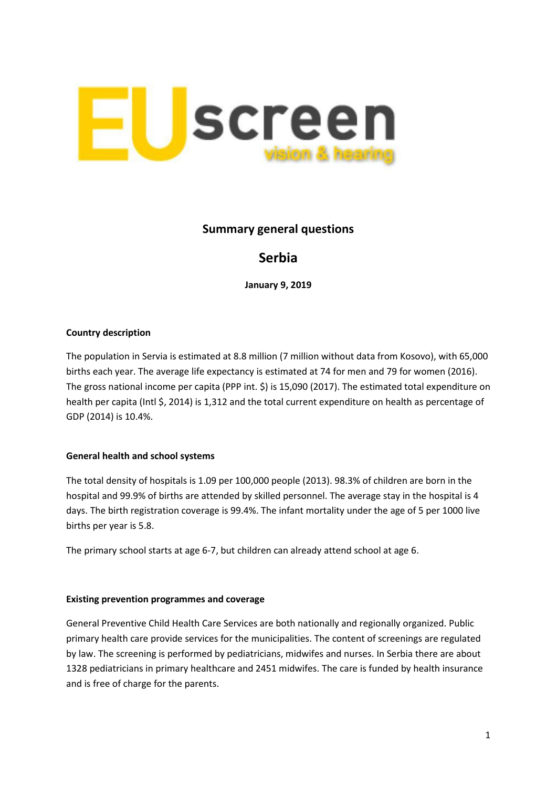

# **Summary general questions**

# **Serbia**

**January 9, 2019**

# **Country description**

The population in Servia is estimated at 8.8 million (7 million without data from Kosovo), with 65,000 births each year. The average life expectancy is estimated at 74 for men and 79 for women (2016). The gross national income per capita (PPP int. \$) is 15,090 (2017). The estimated total expenditure on health per capita (Intl \$, 2014) is 1,312 and the total current expenditure on health as percentage of GDP (2014) is 10.4%.

# **General health and school systems**

The total density of hospitals is 1.09 per 100,000 people (2013). 98.3% of children are born in the hospital and 99.9% of births are attended by skilled personnel. The average stay in the hospital is 4 days. The birth registration coverage is 99.4%. The infant mortality under the age of 5 per 1000 live births per year is 5.8.

The primary school starts at age 6-7, but children can already attend school at age 6.

#### **Existing prevention programmes and coverage**

General Preventive Child Health Care Services are both nationally and regionally organized. Public primary health care provide services for the municipalities. The content of screenings are regulated by law. The screening is performed by pediatricians, midwifes and nurses. In Serbia there are about 1328 pediatricians in primary healthcare and 2451 midwifes. The care is funded by health insurance and is free of charge for the parents.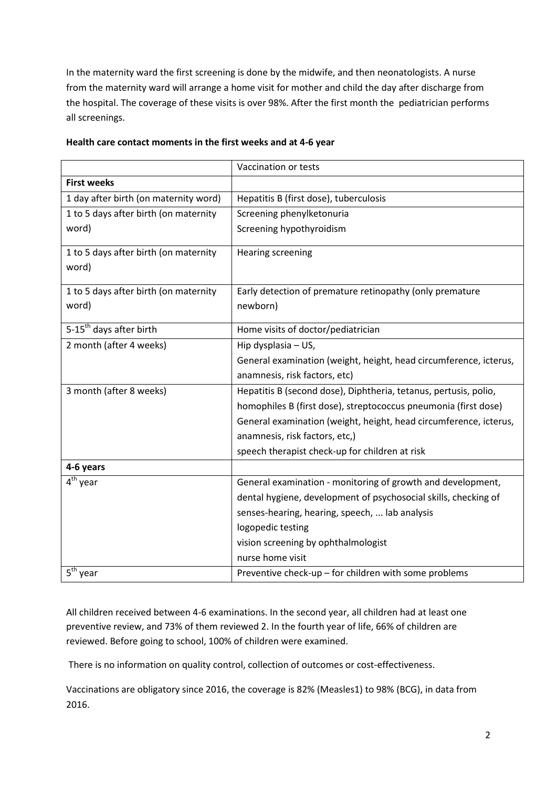In the maternity ward the first screening is done by the midwife, and then neonatologists. A nurse from the maternity ward will arrange a home visit for mother and child the day after discharge from the hospital. The coverage of these visits is over 98%. After the first month the pediatrician performs all screenings.

|                                       | Vaccination or tests                                              |
|---------------------------------------|-------------------------------------------------------------------|
| <b>First weeks</b>                    |                                                                   |
| 1 day after birth (on maternity word) | Hepatitis B (first dose), tuberculosis                            |
| 1 to 5 days after birth (on maternity | Screening phenylketonuria                                         |
| word)                                 | Screening hypothyroidism                                          |
| 1 to 5 days after birth (on maternity | <b>Hearing screening</b>                                          |
| word)                                 |                                                                   |
| 1 to 5 days after birth (on maternity | Early detection of premature retinopathy (only premature          |
| word)                                 | newborn)                                                          |
| 5-15 <sup>th</sup> days after birth   | Home visits of doctor/pediatrician                                |
| 2 month (after 4 weeks)               | Hip dysplasia - US,                                               |
|                                       | General examination (weight, height, head circumference, icterus, |
|                                       | anamnesis, risk factors, etc)                                     |
| 3 month (after 8 weeks)               | Hepatitis B (second dose), Diphtheria, tetanus, pertusis, polio,  |
|                                       | homophiles B (first dose), streptococcus pneumonia (first dose)   |
|                                       | General examination (weight, height, head circumference, icterus, |
|                                       | anamnesis, risk factors, etc,)                                    |
|                                       | speech therapist check-up for children at risk                    |
| 4-6 years                             |                                                                   |
| $4th$ year                            | General examination - monitoring of growth and development,       |
|                                       | dental hygiene, development of psychosocial skills, checking of   |
|                                       | senses-hearing, hearing, speech,  lab analysis                    |
|                                       | logopedic testing                                                 |
|                                       | vision screening by ophthalmologist                               |
|                                       | nurse home visit                                                  |
| $5th$ year                            | Preventive check-up - for children with some problems             |

# **Health care contact moments in the first weeks and at 4-6 year**

All children received between 4-6 examinations. In the second year, all children had at least one preventive review, and 73% of them reviewed 2. In the fourth year of life, 66% of children are reviewed. Before going to school, 100% of children were examined.

There is no information on quality control, collection of outcomes or cost-effectiveness.

Vaccinations are obligatory since 2016, the coverage is 82% (Measles1) to 98% (BCG), in data from 2016.